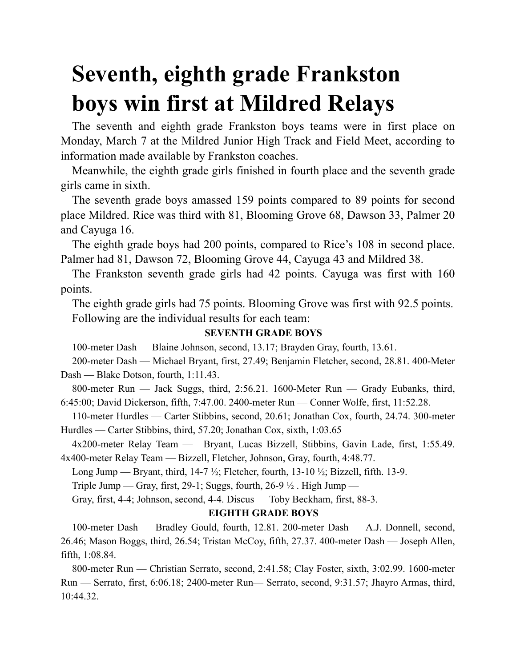## **Seventh, eighth grade Frankston boys win first at Mildred Relays**

The seventh and eighth grade Frankston boys teams were in first place on Monday, March 7 at the Mildred Junior High Track and Field Meet, according to information made available by Frankston coaches.

Meanwhile, the eighth grade girls finished in fourth place and the seventh grade girls came in sixth.

The seventh grade boys amassed 159 points compared to 89 points for second place Mildred. Rice was third with 81, Blooming Grove 68, Dawson 33, Palmer 20 and Cayuga 16.

The eighth grade boys had 200 points, compared to Rice's 108 in second place. Palmer had 81, Dawson 72, Blooming Grove 44, Cayuga 43 and Mildred 38.

The Frankston seventh grade girls had 42 points. Cayuga was first with 160 points.

The eighth grade girls had 75 points. Blooming Grove was first with 92.5 points. Following are the individual results for each team:

## **SEVENTH GRADE BOYS**

100-meter Dash — Blaine Johnson, second, 13.17; Brayden Gray, fourth, 13.61.

200-meter Dash — Michael Bryant, first, 27.49; Benjamin Fletcher, second, 28.81. 400-Meter Dash — Blake Dotson, fourth, 1:11.43.

800-meter Run — Jack Suggs, third, 2:56.21. 1600-Meter Run — Grady Eubanks, third, 6:45:00; David Dickerson, fifth, 7:47.00. 2400-meter Run — Conner Wolfe, first, 11:52.28.

110-meter Hurdles — Carter Stibbins, second, 20.61; Jonathan Cox, fourth, 24.74. 300-meter Hurdles — Carter Stibbins, third, 57.20; Jonathan Cox, sixth, 1:03.65

4x200-meter Relay Team — Bryant, Lucas Bizzell, Stibbins, Gavin Lade, first, 1:55.49. 4x400-meter Relay Team — Bizzell, Fletcher, Johnson, Gray, fourth, 4:48.77.

Long Jump — Bryant, third,  $14-7\frac{1}{2}$ ; Fletcher, fourth,  $13-10\frac{1}{2}$ ; Bizzell, fifth. 13-9.

Triple Jump — Gray, first, 29-1; Suggs, fourth, 26-9  $\frac{1}{2}$ . High Jump —

Gray, first, 4-4; Johnson, second, 4-4. Discus — Toby Beckham, first, 88-3.

## **EIGHTH GRADE BOYS**

100-meter Dash — Bradley Gould, fourth, 12.81. 200-meter Dash — A.J. Donnell, second, 26.46; Mason Boggs, third, 26.54; Tristan McCoy, fifth, 27.37. 400-meter Dash — Joseph Allen, fifth, 1:08.84.

800-meter Run — Christian Serrato, second, 2:41.58; Clay Foster, sixth, 3:02.99. 1600-meter Run — Serrato, first, 6:06.18; 2400-meter Run— Serrato, second, 9:31.57; Jhayro Armas, third, 10:44.32.